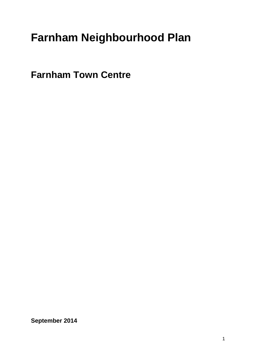# **Farnham Neighbourhood Plan**

**Farnham Town Centre**

**September 2014**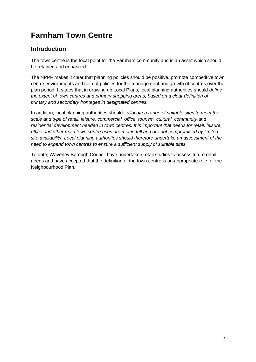## **Farnham Town Centre**

## **Introduction**

The town centre is the focal point for the Farnham community and is an asset which should be retained and enhanced.

The NPPF makes it clear that planning policies should be positive, promote competitive town centre environments and set out policies for the management and growth of centres over the plan period. It states that in drawing up Local Plans, local planning authorities should *define the extent of town centres and primary shopping areas, based on a clear definition of primary and secondary frontages in designated centres.* 

In addition, local planning authorities should*: allocate a range of suitable sites to meet the scale and type of retail, leisure, commercial, office, tourism, cultural, community and residential development needed in town centres. It is important that needs for retail, leisure, office and other main town centre uses are met in full and are not compromised by limited site availability. Local planning authorities should therefore undertake an assessment of the need to expand town centres to ensure a sufficient supply of suitable sites.*

To date, Waverley Borough Council have undertaken retail studies to assess future retail needs and have accepted that the definition of the town centre is an appropriate role for the Neighbourhood Plan.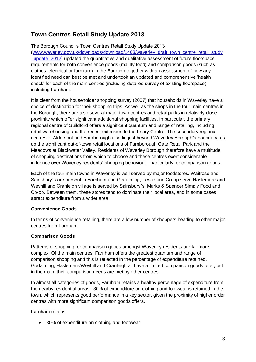## **Town Centres Retail Study Update 2013**

The Borough Council's Town Centres Retail Study Update 2013 [\(www.waverley.gov.uk/downloads/download/1403/waverley\\_draft\\_town\\_centre\\_retail\\_study](http://www.waverley.gov.uk/downloads/download/1403/waverley_draft_town_centre_retail_study_update_2012) update 2012) updated the quantitative and qualitative assessment of future floorspace requirements for both convenience goods (mainly food) and comparison goods (such as clothes, electrical or furniture) in the Borough together with an assessment of how any identified need can best be met and undertook an updated and comprehensive 'health check' for each of the main centres (including detailed survey of existing floorspace) including Farnham.

It is clear from the householder shopping survey (2007) that households in Waverley have a choice of destination for their shopping trips. As well as the shops in the four main centres in the Borough, there are also several major town centres and retail parks in relatively close proximity which offer significant additional shopping facilities. In particular, the primary regional centre of Guildford offers a significant quantum and range of retailing, including retail warehousing and the recent extension to the Friary Centre. The secondary regional centres of Aldershot and Farnborough also lie just beyond Waverley Borough"s boundary, as do the significant out-of-town retail locations of Farnborough Gate Retail Park and the Meadows at Blackwater Valley. Residents of Waverley Borough therefore have a multitude of shopping destinations from which to choose and these centres exert considerable influence over Waverley residents" shopping behaviour - particularly for comparison goods.

Each of the four main towns in Waverley is well served by major foodstores. Waitrose and Sainsbury"s are present in Farnham and Godalming, Tesco and Co-op serve Haslemere and Weyhill and Cranleigh village is served by Sainsbury"s, Marks & Spencer Simply Food and Co-op. Between them, these stores tend to dominate their local area, and in some cases attract expenditure from a wider area.

#### **Convenience Goods**

In terms of convenience retailing, there are a low number of shoppers heading to other major centres from Farnham.

#### **Comparison Goods**

Patterns of shopping for comparison goods amongst Waverley residents are far more complex. Of the main centres, Farnham offers the greatest quantum and range of comparison shopping and this is reflected in the percentage of expenditure retained. Godalming, Haslemere/Weyhill and Cranleigh all have a limited comparison goods offer, but in the main, their comparison needs are met by other centres.

In almost all categories of goods, Farnham retains a healthy percentage of expenditure from the nearby residential areas. 30% of expenditure on clothing and footwear is retained in the town, which represents good performance in a key sector, given the proximity of higher order centres with more significant comparison goods offers.

Farnham retains

• 30% of expenditure on clothing and footwear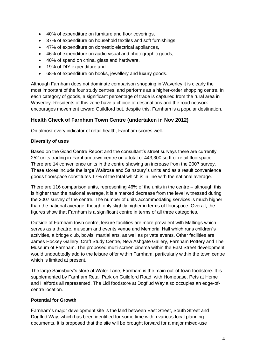- 40% of expenditure on furniture and floor coverings,
- 37% of expenditure on household textiles and soft furnishings,
- 47% of expenditure on domestic electrical appliances,
- 46% of expenditure on audio visual and photographic goods,
- 40% of spend on china, glass and hardware,
- 19% of DIY expenditure and
- 68% of expenditure on books, jewellery and luxury goods.

Although Farnham does not dominate comparison shopping in Waverley it is clearly the most important of the four study centres, and performs as a higher-order shopping centre. In each category of goods, a significant percentage of trade is captured from the rural area in Waverley. Residents of this zone have a choice of destinations and the road network encourages movement toward Guildford but, despite this, Farnham is a popular destination.

#### **Health Check of Farnham Town Centre (undertaken in Nov 2012)**

On almost every indicator of retail health, Farnham scores well.

#### **Diversity of uses**

Based on the Goad Centre Report and the consultant's street surveys there are currently 252 units trading in Farnham town centre on a total of 443,300 sq ft of retail floorspace. There are 14 convenience units in the centre showing an increase from the 2007 survey. These stores include the large Waitrose and Sainsbury"s units and as a result convenience goods floorspace constitutes 17% of the total which is in line with the national average.

There are 116 comparison units, representing 46% of the units in the centre – although this is higher than the national average, it is a marked decrease from the level witnessed during the 2007 survey of the centre. The number of units accommodating services is much higher than the national average, though only slightly higher in terms of floorspace. Overall, the figures show that Farnham is a significant centre in terms of all three categories.

Outside of Farnham town centre, leisure facilities are more prevalent with Maltings which serves as a theatre, museum and events venue and Memorial Hall which runs children"s activities, a bridge club, bowls, martial arts, as well as private events. Other facilities are James Hockey Gallery, Craft Study Centre, New Ashgate Gallery, Farnham Pottery and The Museum of Farnham. The proposed multi-screen cinema within the East Street development would undoubtedly add to the leisure offer within Farnham, particularly within the town centre which is limited at present.

The large Sainsbury"s store at Water Lane, Farnham is the main out-of-town foodstore. It is supplemented by Farnham Retail Park on Guildford Road, with Homebase, Pets at Home and Halfords all represented. The Lidl foodstore at Dogflud Way also occupies an edge-ofcentre location.

#### **Potential for Growth**

Farnham"s major development site is the land between East Street, South Street and Dogflud Way, which has been identified for some time within various local planning documents. It is proposed that the site will be brought forward for a major mixed-use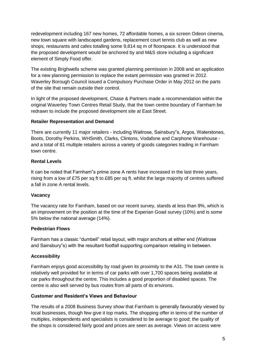redevelopment including 167 new homes, 72 affordable homes, a six screen Odeon cinema, new town square with landscaped gardens, replacement court tennis club as well as new shops, restaurants and cafes totalling some 9,814 sq m of floorspace. It is understood that the proposed development would be anchored by and M&S store including a significant element of Simply Food offer.

The existing Brighwells scheme was granted planning permission in 2008 and an application for a new planning permission to replace the extant permission was granted in 2012. Waverley Borough Council issued a Compulsory Purchase Order in May 2012 on the parts of the site that remain outside their control.

In light of the proposed development, Chase & Partners made a recommendation within the original Waverley Town Centres Retail Study, that the town centre boundary of Farnham be redrawn to include the proposed development site at East Street.

#### **Retailer Representation and Demand**

There are currently 11 major retailers - including Waitrose, Sainsbury"s, Argos, Waterstones, Boots, Dorothy Perkins, WHSmith, Clarks, Clintons, Vodafone and Carphone Warehouse and a total of 81 multiple retailers across a variety of goods categories trading in Farnham town centre.

#### **Rental Levels**

It can be noted that Farnham"s prime zone A rents have increased in the last three years, rising from a low of £75 per sq ft to £85 per sq ft. whilst the large majority of centres suffered a fall in zone A rental levels.

#### **Vacancy**

The vacancy rate for Farnham, based on our recent survey, stands at less than 9%, which is an improvement on the position at the time of the Experian Goad survey (10%) and is some 5% below the national average (14%).

#### **Pedestrian Flows**

Farnham has a classic "dumbell" retail layout, with major anchors at either end (Waitrose and Sainsbury"s) with the resultant footfall supporting comparison retailing in between.

#### **Accessibility**

Farnham enjoys good accessibility by road given its proximity to the A31. The town centre is relatively well provided for in terms of car parks with over 1,700 spaces being available at car parks throughout the centre. This includes a good proportion of disabled spaces. The centre is also well served by bus routes from all parts of its environs.

#### **Customer and Resident's Views and Behaviour**

The results of a 2008 Business Survey show that Farnham is generally favourably viewed by local businesses, though few give it top marks. The shopping offer in terms of the number of multiples, independents and specialists is considered to be average to good; the quality of the shops is considered fairly good and prices are seen as average. Views on access were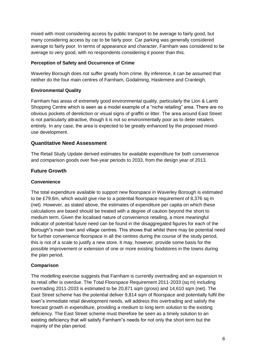mixed with most considering access by public transport to be average to fairly good, but many considering access by car to be fairly poor. Car parking was generally considered average to fairly poor. In terms of appearance and character, Farnham was considered to be average to very good, with no respondents considering it poorer than this.

#### **Perception of Safety and Occurrence of Crime**

Waverley Borough does not suffer greatly from crime. By inference, it can be assumed that neither do the four main centres of Farnham, Godalming, Haslemere and Cranleigh.

#### **Environmental Quality**

Farnham has areas of extremely good environmental quality, particularly the Lion & Lamb Shopping Centre which is seen as a model example of a "niche retailing" area. There are no obvious pockets of dereliction or visual signs of graffiti or litter. The area around East Street is not particularly attractive, though it is not so environmentally poor as to deter retailers entirely. In any case, the area is expected to be greatly enhanced by the proposed mixeduse development.

#### **Quantitative Need Assessment**

The Retail Study Update derived estimates for available expenditure for both convenience and comparison goods over five-year periods to 2033, from the design year of 2013.

#### **Future Growth**

#### **Convenience**

The total expenditure available to support new floorspace in Waverley Borough is estimated to be £79.6m, which would give rise to a potential floorspace requirement of 8,376 sq m (net). However, as stated above, the estimates of expenditure per capita on which these calculations are based should be treated with a degree of caution beyond the short to medium term. Given the localised nature of convenience retailing, a more meaningful indicator of potential future need can be found in the disaggregated figures for each of the Borough"s main town and village centres. This shows that whilst there may be potential need for further convenience floorspace in all the centres during the course of the study period, this is not of a scale to justify a new store. It may, however, provide some basis for the possible improvement or extension of one or more existing foodstores in the towns during the plan period.

#### **Comparison**

The modelling exercise suggests that Farnham is currently overtrading and an expansion in its retail offer is overdue. The Total Floorspace Requirement 2011-2033 (sq m) including overtrading 2011-2033 is estimated to be 20,871 sqm (gross) and 14,610 sqm (net). The East Street scheme has the potential deliver 9,814 sqm of floorspace and potentially fulfil the town"s immediate retail development needs, will address this overtrading and satisfy the forecast growth in expenditure, providing a medium to long term solution to the existing deficiency. The East Street scheme must therefore be seen as a timely solution to an existing deficiency that will satisfy Farnham"s needs for not only the short term but the majority of the plan period.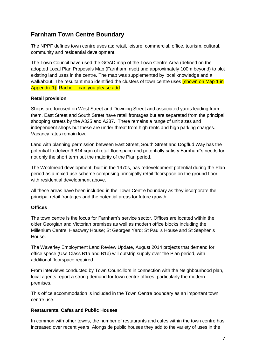## **Farnham Town Centre Boundary**

The NPPF defines town centre uses as: retail, leisure, commercial, office, tourism, cultural, community and residential development.

The Town Council have used the GOAD map of the Town Centre Area (defined on the adopted Local Plan Proposals Map (Farnham Inset) and approximately 100m beyond) to plot existing land uses in the centre. The map was supplemented by local knowledge and a walkabout. The resultant map identified the clusters of town centre uses (shown on Map 1 in Appendix 1). Rachel – can you please add

#### **Retail provision**

Shops are focused on West Street and Downing Street and associated yards leading from them. East Street and South Street have retail frontages but are separated from the principal shopping streets by the A325 and A287. There remains a range of unit sizes and independent shops but these are under threat from high rents and high parking charges. Vacancy rates remain low.

Land with planning permission between East Street, South Street and Dogflud Way has the potential to deliver 9,814 sqm of retail floorspace and potentially satisfy Farnham"s needs for not only the short term but the majority of the Plan period.

The Woolmead development, built in the 1970s, has redevelopment potential during the Plan period as a mixed use scheme comprising principally retail floorspace on the ground floor with residential development above.

All these areas have been included in the Town Centre boundary as they incorporate the principal retail frontages and the potential areas for future growth.

#### **Offices**

The town centre is the focus for Farnham's service sector. Offices are located within the older Georgian and Victorian premises as well as modern office blocks including the Millenium Centre; Headway House; St Georges Yard; St Paul's House and St Stephen's House.

The Waverley Employment Land Review Update, August 2014 projects that demand for office space (Use Class B1a and B1b) will outstrip supply over the Plan period, with additional floorspace required.

From interviews conducted by Town Councillors in connection with the Neighbourhood plan, local agents report a strong demand for town centre offices, particularly the modern premises.

This office accommodation is included in the Town Centre boundary as an important town centre use.

#### **Restaurants, Cafes and Public Houses**

In common with other towns, the number of restaurants and cafes within the town centre has increased over recent years. Alongside public houses they add to the variety of uses in the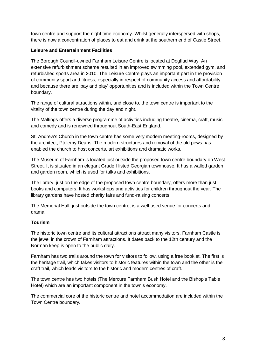town centre and support the night time economy. Whilst generally interspersed with shops, there is now a concentration of places to eat and drink at the southern end of Castle Street.

#### **Leisure and Entertainment Facilities**

The Borough Council-owned Farnham Leisure Centre is located at Dogflud Way. An extensive refurbishment scheme resulted in an improved swimming pool, extended gym, and refurbished sports area in 2010. The Leisure Centre plays an important part in the provision of community sport and fitness, especially in respect of community access and affordability and because there are 'pay and play' opportunities and is included within the Town Centre boundary.

The range of cultural attractions within, and close to, the town centre is important to the vitality of the town centre during the day and night.

The Maltings offers a diverse programme of activities including theatre, cinema, craft, music and comedy and is renowned throughout South-East England.

St. Andrew's Church in the town centre has some very modern meeting-rooms, designed by the architect, Ptolemy Deans. The modern structures and removal of the old pews has enabled the church to host concerts, art exhibitions and dramatic works.

The Museum of Farnham is located just outside the proposed town centre boundary on West Street. It is situated in an elegant Grade I listed Georgian townhouse. It has a walled garden and garden room, which is used for talks and exhibitions.

The library, just on the edge of the proposed town centre boundary, offers more than just books and computers. It has workshops and activities for children throughout the year. The library gardens have hosted charity fairs and fund-raising concerts.

The Memorial Hall, just outside the town centre, is a well-used venue for concerts and drama.

#### **Tourism**

The historic town centre and its cultural attractions attract many visitors. Farnham Castle is the jewel in the crown of Farnham attractions. It dates back to the 12th century and the Norman keep is open to the public daily.

Farnham has two trails around the town for visitors to follow, using a free booklet. The first is the heritage trail, which takes visitors to historic features within the town and the other is the craft trail, which leads visitors to the historic and modern centres of craft.

The town centre has two hotels (The Mercure Farnham Bush Hotel and the Bishop's Table Hotel) which are an important component in the town's economy.

The commercial core of the historic centre and hotel accommodation are included within the Town Centre boundary.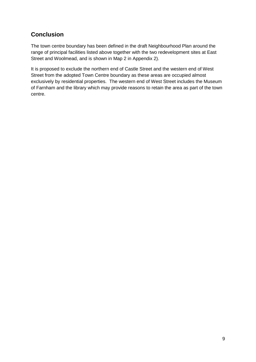## **Conclusion**

The town centre boundary has been defined in the draft Neighbourhood Plan around the range of principal facilities listed above together with the two redevelopment sites at East Street and Woolmead, and is shown in Map 2 in Appendix 2).

It is proposed to exclude the northern end of Castle Street and the western end of West Street from the adopted Town Centre boundary as these areas are occupied almost exclusively by residential properties. The western end of West Street includes the Museum of Farnham and the library which may provide reasons to retain the area as part of the town centre.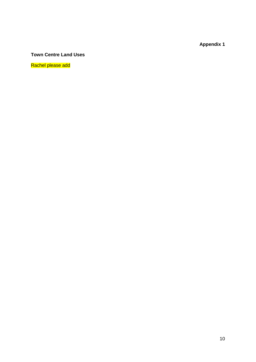**Appendix 1**

### **Town Centre Land Uses**

Rachel please add